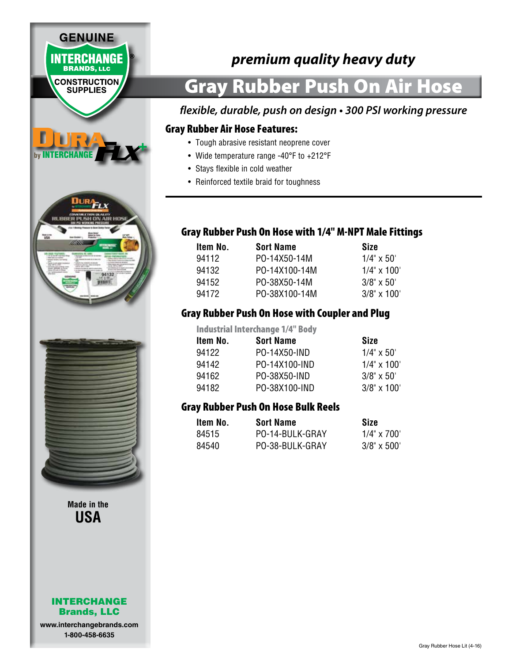

**www.interchangebrands.com 1-800-458-6635**

# *premium quality heavy duty*

# Gray Rubber Push On Air Hose

## *flexible, durable, push on design • 300 PSI working pressure*

#### Gray Rubber Air Hose Features:

- Tough abrasive resistant neoprene cover
- Wide temperature range -40°F to +212°F
- Stays flexible in cold weather
- Reinforced textile braid for toughness

### Gray Rubber Push On Hose with 1/4" M-NPT Male Fittings

| Item No. | <b>Sort Name</b> | Size               |
|----------|------------------|--------------------|
| 94112    | PO-14X50-14M     | $1/4" \times 50'$  |
| 94132    | PO-14X100-14M    | $1/4" \times 100'$ |
| 94152    | PO-38X50-14M     | $3/8" \times 50'$  |
| 94172    | PO-38X100-14M    | $3/8$ " x 100'     |

### Gray Rubber Push On Hose with Coupler and Plug

Industrial Interchange 1/4" Body **Item No. Sort Name Size** 94122 PO-14X50-IND 1/4" x 50" 94142 PO-14X100-IND 1/4" x 100" 94162 PO-38X50-IND 3/8" x 50' 94182 PO-38X100-IND 3/8" x 100'

## Gray Rubber Push On Hose Bulk Reels

| Item No. | <b>Sort Name</b> | Size               |
|----------|------------------|--------------------|
| 84515    | PO-14-BULK-GRAY  | $1/4" \times 700"$ |
| 84540    | PO-38-BULK-GRAY  | $3/8" \times 500"$ |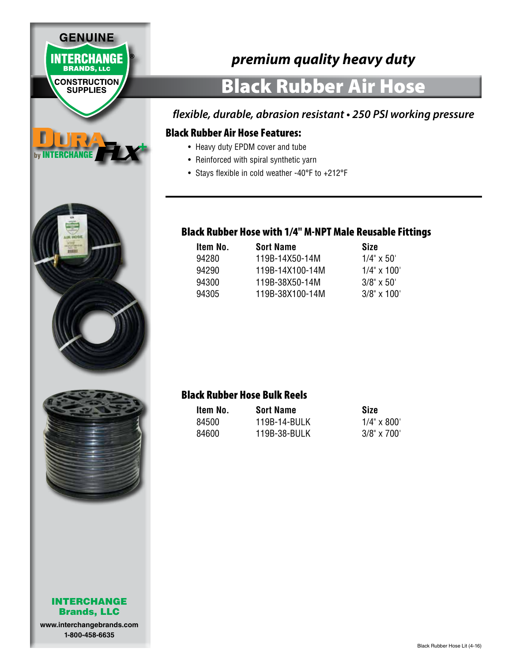

**www.interchangebrands.com 1-800-458-6635**

# *premium quality heavy duty*

# Black Rubber Air Hose

# *flexible, durable, abrasion resistant • 250 PSI working pressure*

#### Black Rubber Air Hose Features:

- Heavy duty EPDM cover and tube
- Reinforced with spiral synthetic yarn
- Stays flexible in cold weather -40°F to +212°F

#### Black Rubber Hose with 1/4" M-NPT Male Reusable Fittings

| Item No. | <b>Sort Name</b> | Size               |
|----------|------------------|--------------------|
| 94280    | 119B-14X50-14M   | $1/4$ " x 50'      |
| 94290    | 119B-14X100-14M  | $1/4" \times 100'$ |
| 94300    | 119B-38X50-14M   | $3/8" \times 50'$  |
| 94305    | 119B-38X100-14M  | $3/8" \times 100'$ |

## Black Rubber Hose Bulk Reels

| Item No. | <b>Sort Name</b> | Size               |
|----------|------------------|--------------------|
| 84500    | 119B-14-BULK     | $1/4" \times 800'$ |
| 84600    | 119B-38-BULK     | $3/8" \times 700'$ |